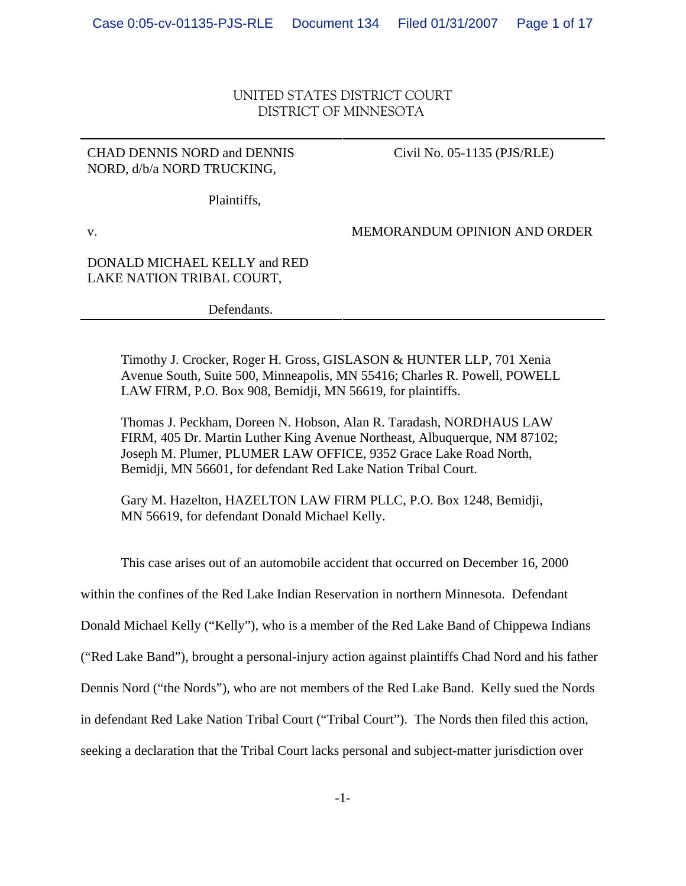## UNITED STATES DISTRICT COURT DISTRICT OF MINNESOTA

### CHAD DENNIS NORD and DENNIS NORD, d/b/a NORD TRUCKING,

### Civil No. 05-1135 (PJS/RLE)

Plaintiffs,

v.

MEMORANDUM OPINION AND ORDER

### DONALD MICHAEL KELLY and RED LAKE NATION TRIBAL COURT,

Defendants.

Timothy J. Crocker, Roger H. Gross, GISLASON & HUNTER LLP, 701 Xenia Avenue South, Suite 500, Minneapolis, MN 55416; Charles R. Powell, POWELL LAW FIRM, P.O. Box 908, Bemidji, MN 56619, for plaintiffs.

Thomas J. Peckham, Doreen N. Hobson, Alan R. Taradash, NORDHAUS LAW FIRM, 405 Dr. Martin Luther King Avenue Northeast, Albuquerque, NM 87102; Joseph M. Plumer, PLUMER LAW OFFICE, 9352 Grace Lake Road North, Bemidji, MN 56601, for defendant Red Lake Nation Tribal Court.

Gary M. Hazelton, HAZELTON LAW FIRM PLLC, P.O. Box 1248, Bemidji, MN 56619, for defendant Donald Michael Kelly.

This case arises out of an automobile accident that occurred on December 16, 2000

within the confines of the Red Lake Indian Reservation in northern Minnesota. Defendant

Donald Michael Kelly ("Kelly"), who is a member of the Red Lake Band of Chippewa Indians

("Red Lake Band"), brought a personal-injury action against plaintiffs Chad Nord and his father

Dennis Nord ("the Nords"), who are not members of the Red Lake Band. Kelly sued the Nords

in defendant Red Lake Nation Tribal Court ("Tribal Court"). The Nords then filed this action,

seeking a declaration that the Tribal Court lacks personal and subject-matter jurisdiction over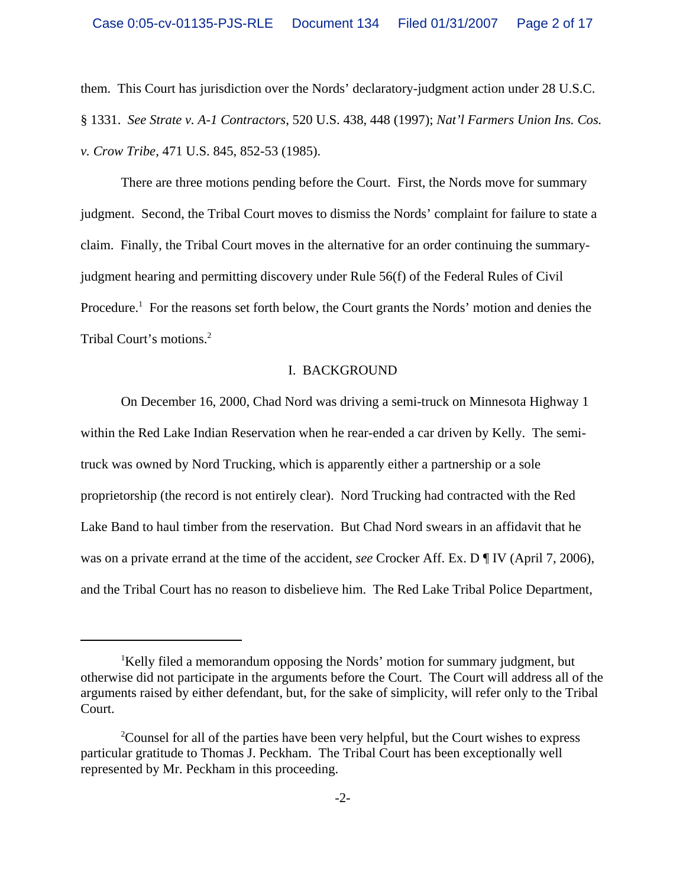them. This Court has jurisdiction over the Nords' declaratory-judgment action under 28 U.S.C. § 1331. *See Strate v. A-1 Contractors*, 520 U.S. 438, 448 (1997); *Nat'l Farmers Union Ins. Cos. v. Crow Tribe*, 471 U.S. 845, 852-53 (1985).

There are three motions pending before the Court. First, the Nords move for summary judgment. Second, the Tribal Court moves to dismiss the Nords' complaint for failure to state a claim. Finally, the Tribal Court moves in the alternative for an order continuing the summaryjudgment hearing and permitting discovery under Rule 56(f) of the Federal Rules of Civil Procedure.<sup>1</sup> For the reasons set forth below, the Court grants the Nords' motion and denies the Tribal Court's motions.2

#### I. BACKGROUND

On December 16, 2000, Chad Nord was driving a semi-truck on Minnesota Highway 1 within the Red Lake Indian Reservation when he rear-ended a car driven by Kelly. The semitruck was owned by Nord Trucking, which is apparently either a partnership or a sole proprietorship (the record is not entirely clear). Nord Trucking had contracted with the Red Lake Band to haul timber from the reservation. But Chad Nord swears in an affidavit that he was on a private errand at the time of the accident, *see* Crocker Aff. Ex. D ¶ IV (April 7, 2006), and the Tribal Court has no reason to disbelieve him. The Red Lake Tribal Police Department,

<sup>&</sup>lt;sup>1</sup>Kelly filed a memorandum opposing the Nords' motion for summary judgment, but otherwise did not participate in the arguments before the Court. The Court will address all of the arguments raised by either defendant, but, for the sake of simplicity, will refer only to the Tribal Court.

<sup>&</sup>lt;sup>2</sup>Counsel for all of the parties have been very helpful, but the Court wishes to express particular gratitude to Thomas J. Peckham. The Tribal Court has been exceptionally well represented by Mr. Peckham in this proceeding.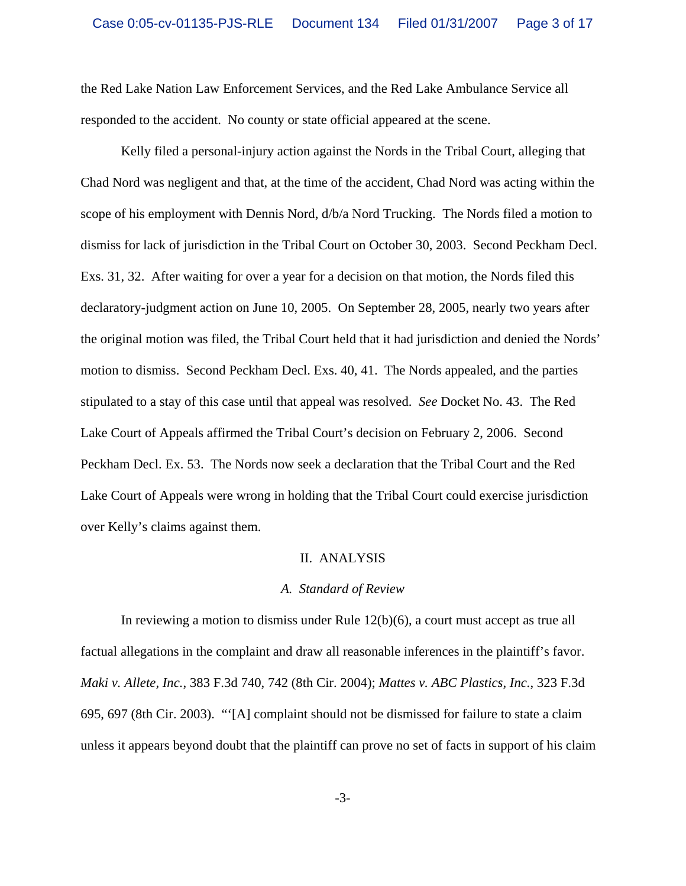the Red Lake Nation Law Enforcement Services, and the Red Lake Ambulance Service all responded to the accident. No county or state official appeared at the scene.

Kelly filed a personal-injury action against the Nords in the Tribal Court, alleging that Chad Nord was negligent and that, at the time of the accident, Chad Nord was acting within the scope of his employment with Dennis Nord, d/b/a Nord Trucking. The Nords filed a motion to dismiss for lack of jurisdiction in the Tribal Court on October 30, 2003. Second Peckham Decl. Exs. 31, 32. After waiting for over a year for a decision on that motion, the Nords filed this declaratory-judgment action on June 10, 2005. On September 28, 2005, nearly two years after the original motion was filed, the Tribal Court held that it had jurisdiction and denied the Nords' motion to dismiss. Second Peckham Decl. Exs. 40, 41. The Nords appealed, and the parties stipulated to a stay of this case until that appeal was resolved. *See* Docket No. 43. The Red Lake Court of Appeals affirmed the Tribal Court's decision on February 2, 2006. Second Peckham Decl. Ex. 53. The Nords now seek a declaration that the Tribal Court and the Red Lake Court of Appeals were wrong in holding that the Tribal Court could exercise jurisdiction over Kelly's claims against them.

#### II. ANALYSIS

### *A. Standard of Review*

In reviewing a motion to dismiss under Rule 12(b)(6), a court must accept as true all factual allegations in the complaint and draw all reasonable inferences in the plaintiff's favor. *Maki v. Allete, Inc.*, 383 F.3d 740, 742 (8th Cir. 2004); *Mattes v. ABC Plastics, Inc.*, 323 F.3d 695, 697 (8th Cir. 2003). "'[A] complaint should not be dismissed for failure to state a claim unless it appears beyond doubt that the plaintiff can prove no set of facts in support of his claim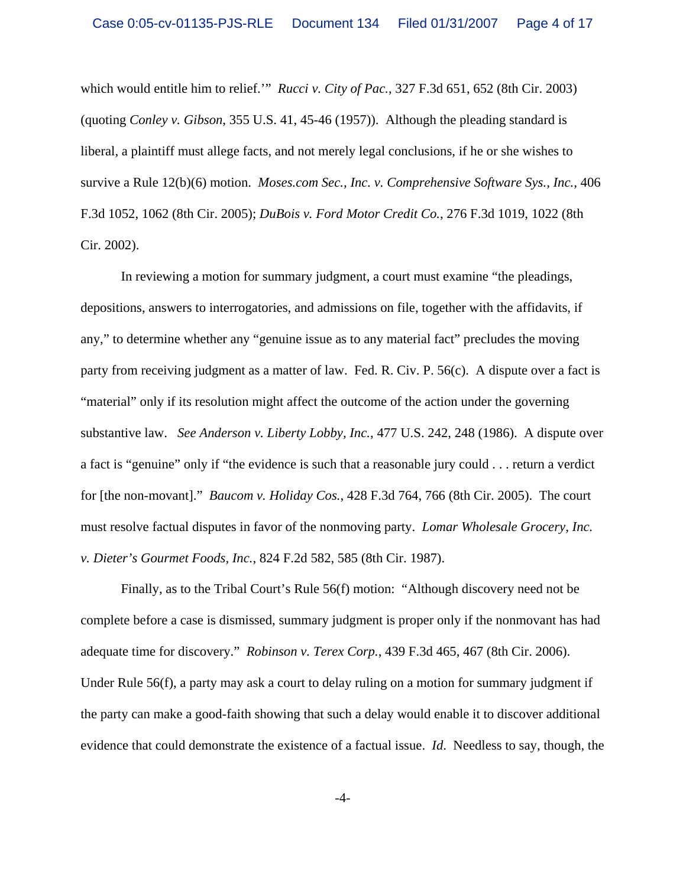which would entitle him to relief.'" *Rucci v. City of Pac.*, 327 F.3d 651, 652 (8th Cir. 2003) (quoting *Conley v. Gibson*, 355 U.S. 41, 45-46 (1957)). Although the pleading standard is liberal, a plaintiff must allege facts, and not merely legal conclusions, if he or she wishes to survive a Rule 12(b)(6) motion. *Moses.com Sec., Inc. v. Comprehensive Software Sys., Inc.*, 406 F.3d 1052, 1062 (8th Cir. 2005); *DuBois v. Ford Motor Credit Co.*, 276 F.3d 1019, 1022 (8th Cir. 2002).

In reviewing a motion for summary judgment, a court must examine "the pleadings, depositions, answers to interrogatories, and admissions on file, together with the affidavits, if any," to determine whether any "genuine issue as to any material fact" precludes the moving party from receiving judgment as a matter of law. Fed. R. Civ. P. 56(c). A dispute over a fact is "material" only if its resolution might affect the outcome of the action under the governing substantive law. *See Anderson v. Liberty Lobby, Inc.*, 477 U.S. 242, 248 (1986). A dispute over a fact is "genuine" only if "the evidence is such that a reasonable jury could . . . return a verdict for [the non-movant]." *Baucom v. Holiday Cos.*, 428 F.3d 764, 766 (8th Cir. 2005). The court must resolve factual disputes in favor of the nonmoving party. *Lomar Wholesale Grocery, Inc. v. Dieter's Gourmet Foods, Inc.*, 824 F.2d 582, 585 (8th Cir. 1987).

Finally, as to the Tribal Court's Rule 56(f) motion: "Although discovery need not be complete before a case is dismissed, summary judgment is proper only if the nonmovant has had adequate time for discovery." *Robinson v. Terex Corp.*, 439 F.3d 465, 467 (8th Cir. 2006). Under Rule 56(f), a party may ask a court to delay ruling on a motion for summary judgment if the party can make a good-faith showing that such a delay would enable it to discover additional evidence that could demonstrate the existence of a factual issue. *Id*. Needless to say, though, the

-4-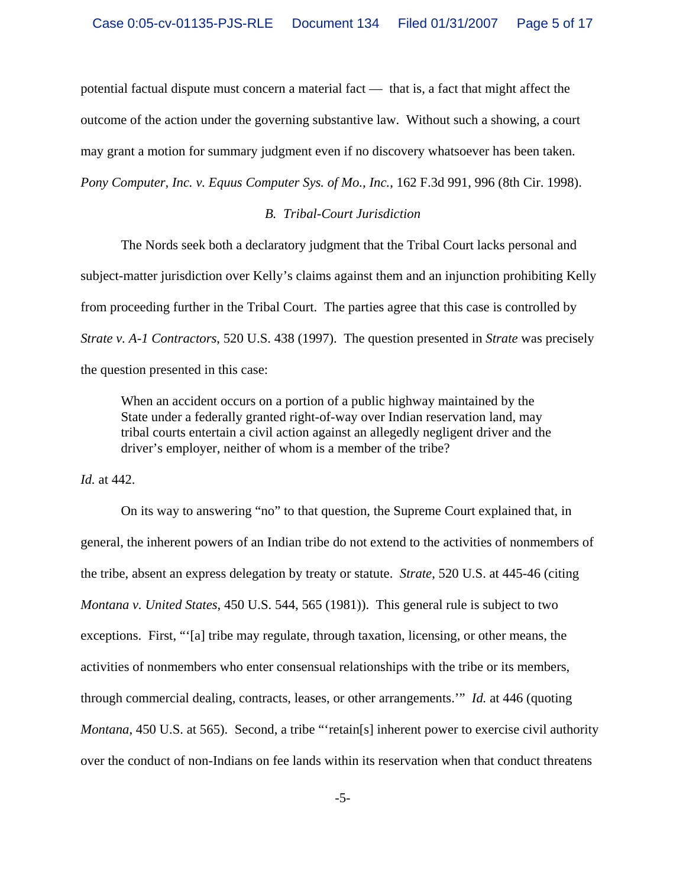potential factual dispute must concern a material fact — that is, a fact that might affect the outcome of the action under the governing substantive law. Without such a showing, a court may grant a motion for summary judgment even if no discovery whatsoever has been taken. *Pony Computer, Inc. v. Equus Computer Sys. of Mo., Inc.*, 162 F.3d 991, 996 (8th Cir. 1998).

#### *B. Tribal-Court Jurisdiction*

The Nords seek both a declaratory judgment that the Tribal Court lacks personal and subject-matter jurisdiction over Kelly's claims against them and an injunction prohibiting Kelly from proceeding further in the Tribal Court. The parties agree that this case is controlled by *Strate v. A-1 Contractors*, 520 U.S. 438 (1997). The question presented in *Strate* was precisely the question presented in this case:

When an accident occurs on a portion of a public highway maintained by the State under a federally granted right-of-way over Indian reservation land, may tribal courts entertain a civil action against an allegedly negligent driver and the driver's employer, neither of whom is a member of the tribe?

*Id.* at 442.

On its way to answering "no" to that question, the Supreme Court explained that, in general, the inherent powers of an Indian tribe do not extend to the activities of nonmembers of the tribe, absent an express delegation by treaty or statute. *Strate*, 520 U.S. at 445-46 (citing *Montana v. United States*, 450 U.S. 544, 565 (1981)). This general rule is subject to two exceptions. First, "'[a] tribe may regulate, through taxation, licensing, or other means, the activities of nonmembers who enter consensual relationships with the tribe or its members, through commercial dealing, contracts, leases, or other arrangements.'" *Id.* at 446 (quoting *Montana*, 450 U.S. at 565). Second, a tribe "retain[s] inherent power to exercise civil authority over the conduct of non-Indians on fee lands within its reservation when that conduct threatens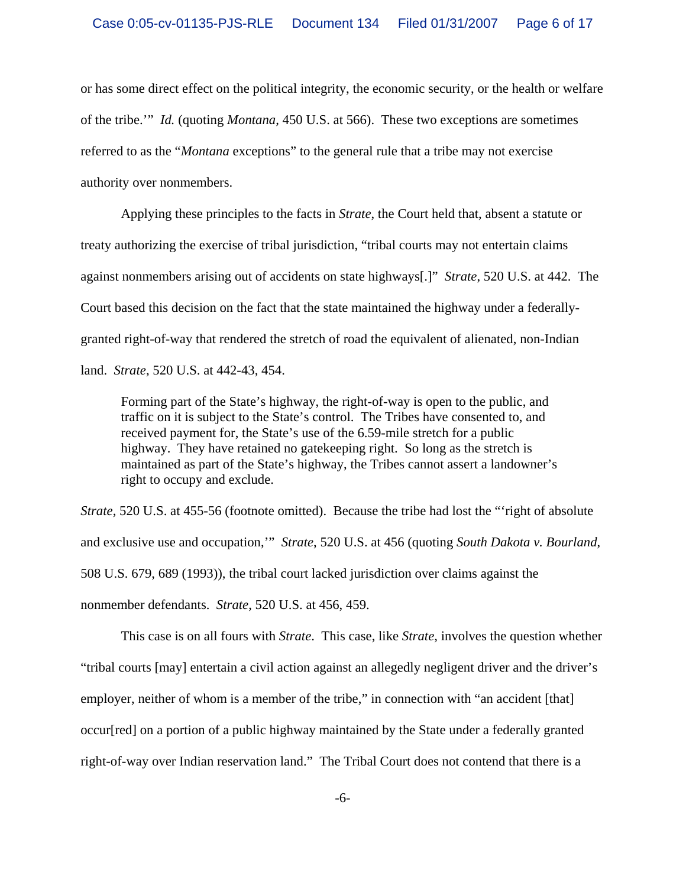or has some direct effect on the political integrity, the economic security, or the health or welfare of the tribe.'" *Id.* (quoting *Montana*, 450 U.S. at 566). These two exceptions are sometimes referred to as the "*Montana* exceptions" to the general rule that a tribe may not exercise authority over nonmembers.

Applying these principles to the facts in *Strate*, the Court held that, absent a statute or treaty authorizing the exercise of tribal jurisdiction, "tribal courts may not entertain claims against nonmembers arising out of accidents on state highways[.]" *Strate*, 520 U.S. at 442. The Court based this decision on the fact that the state maintained the highway under a federallygranted right-of-way that rendered the stretch of road the equivalent of alienated, non-Indian land. *Strate*, 520 U.S. at 442-43, 454.

Forming part of the State's highway, the right-of-way is open to the public, and traffic on it is subject to the State's control. The Tribes have consented to, and received payment for, the State's use of the 6.59-mile stretch for a public highway. They have retained no gatekeeping right. So long as the stretch is maintained as part of the State's highway, the Tribes cannot assert a landowner's right to occupy and exclude.

*Strate*, 520 U.S. at 455-56 (footnote omitted). Because the tribe had lost the "'right of absolute and exclusive use and occupation,'" *Strate*, 520 U.S. at 456 (quoting *South Dakota v. Bourland*, 508 U.S. 679, 689 (1993)), the tribal court lacked jurisdiction over claims against the nonmember defendants. *Strate*, 520 U.S. at 456, 459.

This case is on all fours with *Strate*. This case, like *Strate*, involves the question whether "tribal courts [may] entertain a civil action against an allegedly negligent driver and the driver's employer, neither of whom is a member of the tribe," in connection with "an accident [that] occur[red] on a portion of a public highway maintained by the State under a federally granted right-of-way over Indian reservation land." The Tribal Court does not contend that there is a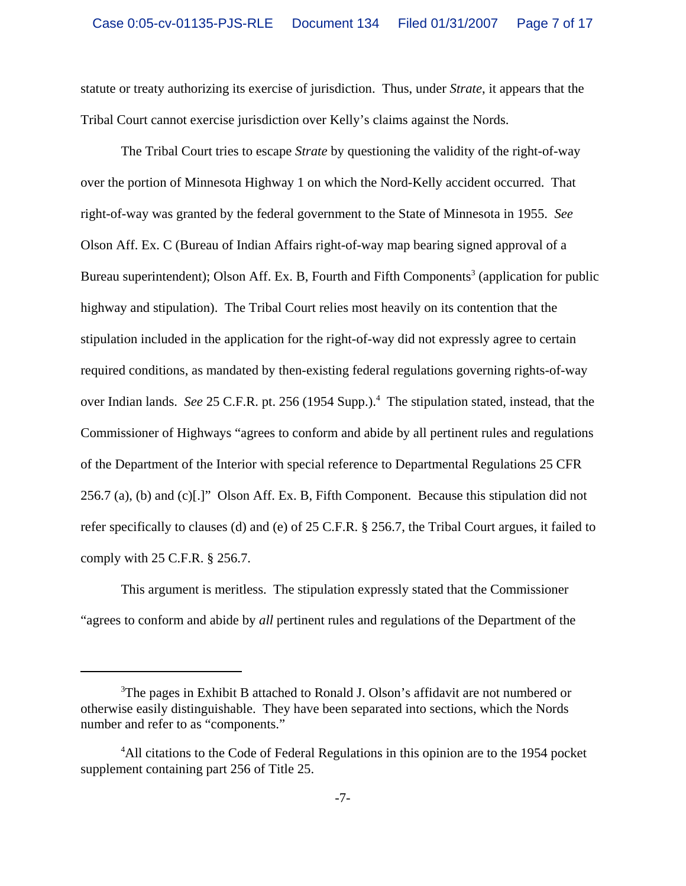statute or treaty authorizing its exercise of jurisdiction. Thus, under *Strate*, it appears that the Tribal Court cannot exercise jurisdiction over Kelly's claims against the Nords.

The Tribal Court tries to escape *Strate* by questioning the validity of the right-of-way over the portion of Minnesota Highway 1 on which the Nord-Kelly accident occurred. That right-of-way was granted by the federal government to the State of Minnesota in 1955. *See* Olson Aff. Ex. C (Bureau of Indian Affairs right-of-way map bearing signed approval of a Bureau superintendent); Olson Aff. Ex. B, Fourth and Fifth Components<sup>3</sup> (application for public highway and stipulation). The Tribal Court relies most heavily on its contention that the stipulation included in the application for the right-of-way did not expressly agree to certain required conditions, as mandated by then-existing federal regulations governing rights-of-way over Indian lands. *See* 25 C.F.R. pt. 256 (1954 Supp.).<sup>4</sup> The stipulation stated, instead, that the Commissioner of Highways "agrees to conform and abide by all pertinent rules and regulations of the Department of the Interior with special reference to Departmental Regulations 25 CFR 256.7 (a), (b) and (c)[.]" Olson Aff. Ex. B, Fifth Component. Because this stipulation did not refer specifically to clauses (d) and (e) of 25 C.F.R. § 256.7, the Tribal Court argues, it failed to comply with 25 C.F.R. § 256.7.

This argument is meritless. The stipulation expressly stated that the Commissioner "agrees to conform and abide by *all* pertinent rules and regulations of the Department of the

<sup>&</sup>lt;sup>3</sup>The pages in Exhibit B attached to Ronald J. Olson's affidavit are not numbered or otherwise easily distinguishable. They have been separated into sections, which the Nords number and refer to as "components."

<sup>&</sup>lt;sup>4</sup>All citations to the Code of Federal Regulations in this opinion are to the 1954 pocket supplement containing part 256 of Title 25.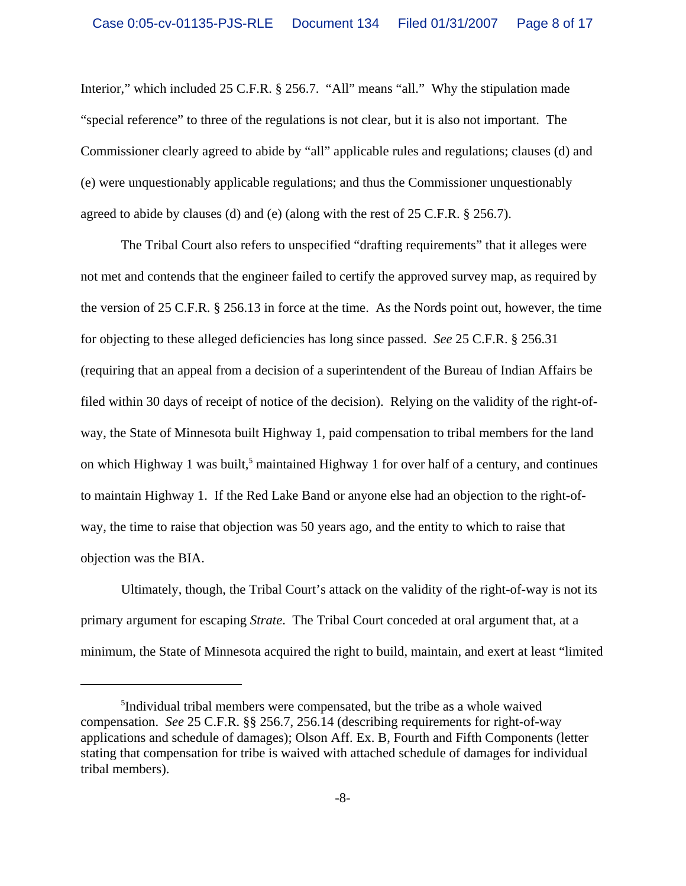Interior," which included 25 C.F.R. § 256.7. "All" means "all." Why the stipulation made "special reference" to three of the regulations is not clear, but it is also not important. The Commissioner clearly agreed to abide by "all" applicable rules and regulations; clauses (d) and (e) were unquestionably applicable regulations; and thus the Commissioner unquestionably agreed to abide by clauses (d) and (e) (along with the rest of 25 C.F.R. § 256.7).

The Tribal Court also refers to unspecified "drafting requirements" that it alleges were not met and contends that the engineer failed to certify the approved survey map, as required by the version of 25 C.F.R. § 256.13 in force at the time. As the Nords point out, however, the time for objecting to these alleged deficiencies has long since passed. *See* 25 C.F.R. § 256.31 (requiring that an appeal from a decision of a superintendent of the Bureau of Indian Affairs be filed within 30 days of receipt of notice of the decision). Relying on the validity of the right-ofway, the State of Minnesota built Highway 1, paid compensation to tribal members for the land on which Highway 1 was built,<sup>5</sup> maintained Highway 1 for over half of a century, and continues to maintain Highway 1. If the Red Lake Band or anyone else had an objection to the right-ofway, the time to raise that objection was 50 years ago, and the entity to which to raise that objection was the BIA.

Ultimately, though, the Tribal Court's attack on the validity of the right-of-way is not its primary argument for escaping *Strate*. The Tribal Court conceded at oral argument that, at a minimum, the State of Minnesota acquired the right to build, maintain, and exert at least "limited

<sup>5</sup> Individual tribal members were compensated, but the tribe as a whole waived compensation. *See* 25 C.F.R. §§ 256.7, 256.14 (describing requirements for right-of-way applications and schedule of damages); Olson Aff. Ex. B, Fourth and Fifth Components (letter stating that compensation for tribe is waived with attached schedule of damages for individual tribal members).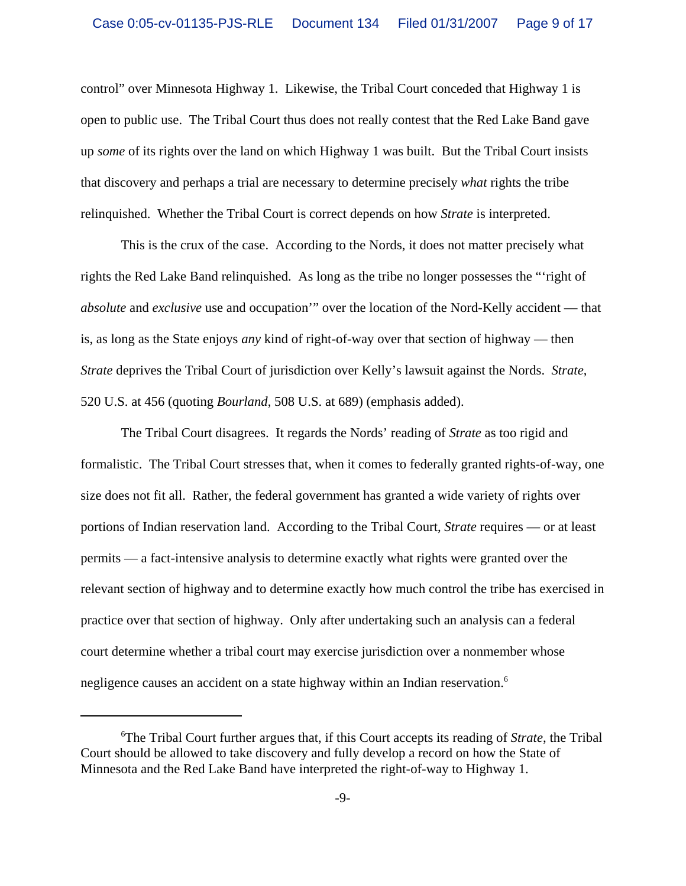control" over Minnesota Highway 1. Likewise, the Tribal Court conceded that Highway 1 is open to public use. The Tribal Court thus does not really contest that the Red Lake Band gave up *some* of its rights over the land on which Highway 1 was built. But the Tribal Court insists that discovery and perhaps a trial are necessary to determine precisely *what* rights the tribe relinquished. Whether the Tribal Court is correct depends on how *Strate* is interpreted.

This is the crux of the case. According to the Nords, it does not matter precisely what rights the Red Lake Band relinquished. As long as the tribe no longer possesses the "'right of *absolute* and *exclusive* use and occupation'" over the location of the Nord-Kelly accident — that is, as long as the State enjoys *any* kind of right-of-way over that section of highway — then *Strate* deprives the Tribal Court of jurisdiction over Kelly's lawsuit against the Nords. *Strate*, 520 U.S. at 456 (quoting *Bourland*, 508 U.S. at 689) (emphasis added).

The Tribal Court disagrees. It regards the Nords' reading of *Strate* as too rigid and formalistic. The Tribal Court stresses that, when it comes to federally granted rights-of-way, one size does not fit all. Rather, the federal government has granted a wide variety of rights over portions of Indian reservation land. According to the Tribal Court, *Strate* requires — or at least permits — a fact-intensive analysis to determine exactly what rights were granted over the relevant section of highway and to determine exactly how much control the tribe has exercised in practice over that section of highway. Only after undertaking such an analysis can a federal court determine whether a tribal court may exercise jurisdiction over a nonmember whose negligence causes an accident on a state highway within an Indian reservation.<sup>6</sup>

<sup>6</sup> The Tribal Court further argues that, if this Court accepts its reading of *Strate*, the Tribal Court should be allowed to take discovery and fully develop a record on how the State of Minnesota and the Red Lake Band have interpreted the right-of-way to Highway 1.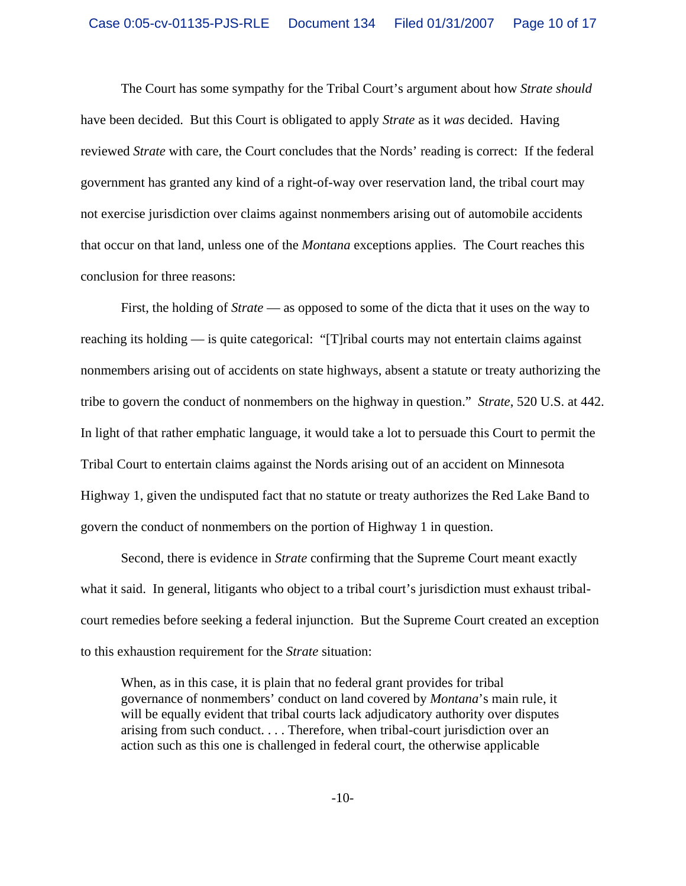The Court has some sympathy for the Tribal Court's argument about how *Strate should* have been decided. But this Court is obligated to apply *Strate* as it *was* decided. Having reviewed *Strate* with care, the Court concludes that the Nords' reading is correct: If the federal government has granted any kind of a right-of-way over reservation land, the tribal court may not exercise jurisdiction over claims against nonmembers arising out of automobile accidents that occur on that land, unless one of the *Montana* exceptions applies. The Court reaches this conclusion for three reasons:

First, the holding of *Strate* — as opposed to some of the dicta that it uses on the way to reaching its holding — is quite categorical: "[T]ribal courts may not entertain claims against nonmembers arising out of accidents on state highways, absent a statute or treaty authorizing the tribe to govern the conduct of nonmembers on the highway in question." *Strate*, 520 U.S. at 442. In light of that rather emphatic language, it would take a lot to persuade this Court to permit the Tribal Court to entertain claims against the Nords arising out of an accident on Minnesota Highway 1, given the undisputed fact that no statute or treaty authorizes the Red Lake Band to govern the conduct of nonmembers on the portion of Highway 1 in question.

Second, there is evidence in *Strate* confirming that the Supreme Court meant exactly what it said. In general, litigants who object to a tribal court's jurisdiction must exhaust tribalcourt remedies before seeking a federal injunction. But the Supreme Court created an exception to this exhaustion requirement for the *Strate* situation:

When, as in this case, it is plain that no federal grant provides for tribal governance of nonmembers' conduct on land covered by *Montana*'s main rule, it will be equally evident that tribal courts lack adjudicatory authority over disputes arising from such conduct. . . . Therefore, when tribal-court jurisdiction over an action such as this one is challenged in federal court, the otherwise applicable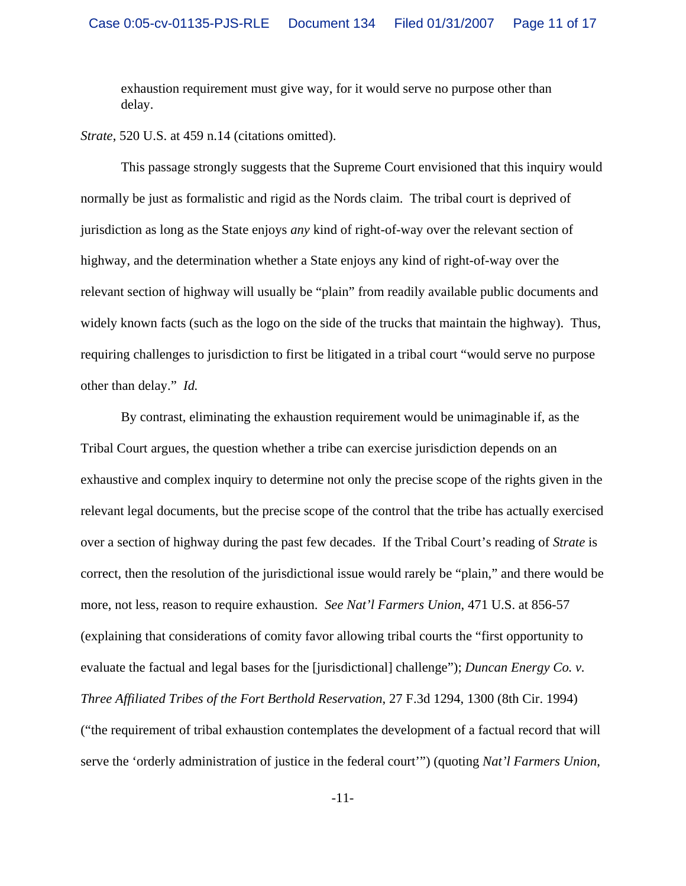exhaustion requirement must give way, for it would serve no purpose other than delay.

*Strate*, 520 U.S. at 459 n.14 (citations omitted).

This passage strongly suggests that the Supreme Court envisioned that this inquiry would normally be just as formalistic and rigid as the Nords claim. The tribal court is deprived of jurisdiction as long as the State enjoys *any* kind of right-of-way over the relevant section of highway, and the determination whether a State enjoys any kind of right-of-way over the relevant section of highway will usually be "plain" from readily available public documents and widely known facts (such as the logo on the side of the trucks that maintain the highway). Thus, requiring challenges to jurisdiction to first be litigated in a tribal court "would serve no purpose other than delay." *Id.*

By contrast, eliminating the exhaustion requirement would be unimaginable if, as the Tribal Court argues, the question whether a tribe can exercise jurisdiction depends on an exhaustive and complex inquiry to determine not only the precise scope of the rights given in the relevant legal documents, but the precise scope of the control that the tribe has actually exercised over a section of highway during the past few decades. If the Tribal Court's reading of *Strate* is correct, then the resolution of the jurisdictional issue would rarely be "plain," and there would be more, not less, reason to require exhaustion. *See Nat'l Farmers Union*, 471 U.S. at 856-57 (explaining that considerations of comity favor allowing tribal courts the "first opportunity to evaluate the factual and legal bases for the [jurisdictional] challenge"); *Duncan Energy Co. v. Three Affiliated Tribes of the Fort Berthold Reservation*, 27 F.3d 1294, 1300 (8th Cir. 1994) ("the requirement of tribal exhaustion contemplates the development of a factual record that will serve the 'orderly administration of justice in the federal court'") (quoting *Nat'l Farmers Union*,

-11-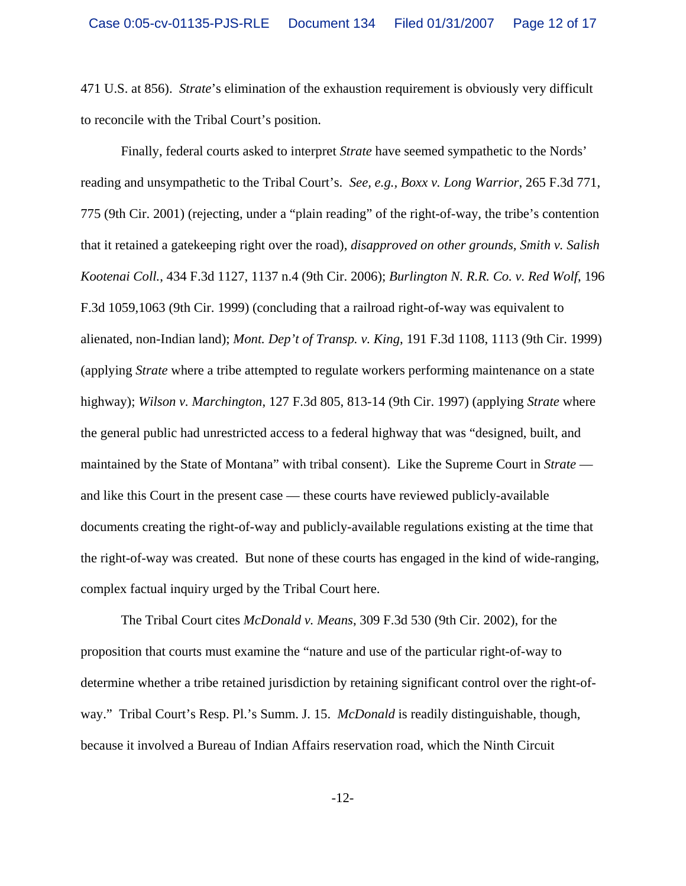471 U.S. at 856). *Strate*'s elimination of the exhaustion requirement is obviously very difficult to reconcile with the Tribal Court's position.

Finally, federal courts asked to interpret *Strate* have seemed sympathetic to the Nords' reading and unsympathetic to the Tribal Court's. *See, e.g., Boxx v. Long Warrior*, 265 F.3d 771, 775 (9th Cir. 2001) (rejecting, under a "plain reading" of the right-of-way, the tribe's contention that it retained a gatekeeping right over the road), *disapproved on other grounds, Smith v. Salish Kootenai Coll.*, 434 F.3d 1127, 1137 n.4 (9th Cir. 2006); *Burlington N. R.R. Co. v. Red Wolf*, 196 F.3d 1059,1063 (9th Cir. 1999) (concluding that a railroad right-of-way was equivalent to alienated, non-Indian land); *Mont. Dep't of Transp. v. King*, 191 F.3d 1108, 1113 (9th Cir. 1999) (applying *Strate* where a tribe attempted to regulate workers performing maintenance on a state highway); *Wilson v. Marchington*, 127 F.3d 805, 813-14 (9th Cir. 1997) (applying *Strate* where the general public had unrestricted access to a federal highway that was "designed, built, and maintained by the State of Montana" with tribal consent). Like the Supreme Court in *Strate* and like this Court in the present case — these courts have reviewed publicly-available documents creating the right-of-way and publicly-available regulations existing at the time that the right-of-way was created. But none of these courts has engaged in the kind of wide-ranging, complex factual inquiry urged by the Tribal Court here.

The Tribal Court cites *McDonald v. Means*, 309 F.3d 530 (9th Cir. 2002), for the proposition that courts must examine the "nature and use of the particular right-of-way to determine whether a tribe retained jurisdiction by retaining significant control over the right-ofway." Tribal Court's Resp. Pl.'s Summ. J. 15. *McDonald* is readily distinguishable, though, because it involved a Bureau of Indian Affairs reservation road, which the Ninth Circuit

-12-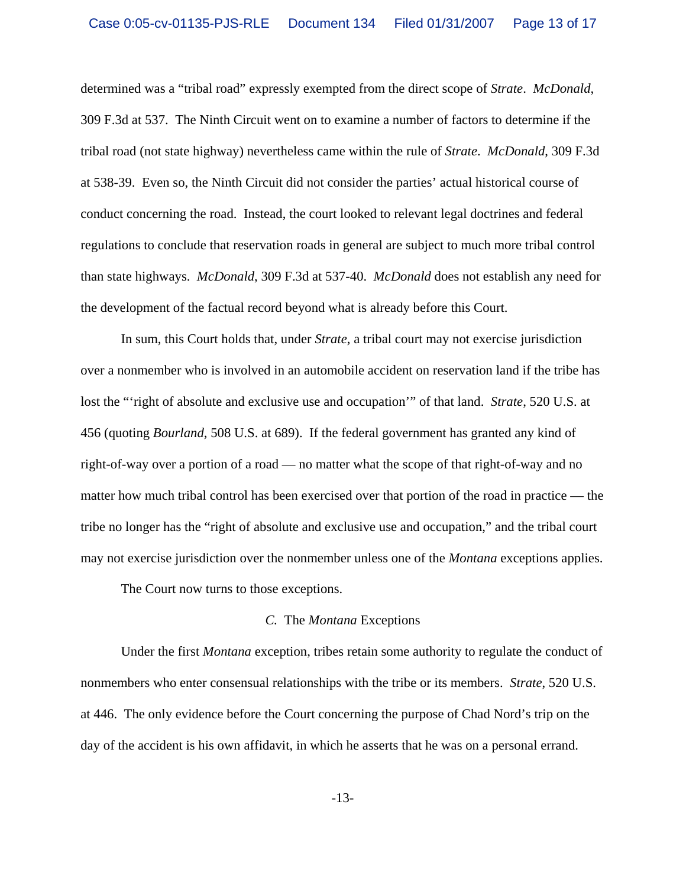determined was a "tribal road" expressly exempted from the direct scope of *Strate*. *McDonald*, 309 F.3d at 537. The Ninth Circuit went on to examine a number of factors to determine if the tribal road (not state highway) nevertheless came within the rule of *Strate*. *McDonald*, 309 F.3d at 538-39. Even so, the Ninth Circuit did not consider the parties' actual historical course of conduct concerning the road. Instead, the court looked to relevant legal doctrines and federal regulations to conclude that reservation roads in general are subject to much more tribal control than state highways. *McDonald*, 309 F.3d at 537-40. *McDonald* does not establish any need for the development of the factual record beyond what is already before this Court.

In sum, this Court holds that, under *Strate*, a tribal court may not exercise jurisdiction over a nonmember who is involved in an automobile accident on reservation land if the tribe has lost the "'right of absolute and exclusive use and occupation'" of that land. *Strate*, 520 U.S. at 456 (quoting *Bourland*, 508 U.S. at 689). If the federal government has granted any kind of right-of-way over a portion of a road — no matter what the scope of that right-of-way and no matter how much tribal control has been exercised over that portion of the road in practice — the tribe no longer has the "right of absolute and exclusive use and occupation," and the tribal court may not exercise jurisdiction over the nonmember unless one of the *Montana* exceptions applies.

The Court now turns to those exceptions.

#### *C.* The *Montana* Exceptions

Under the first *Montana* exception, tribes retain some authority to regulate the conduct of nonmembers who enter consensual relationships with the tribe or its members. *Strate*, 520 U.S. at 446. The only evidence before the Court concerning the purpose of Chad Nord's trip on the day of the accident is his own affidavit, in which he asserts that he was on a personal errand.

-13-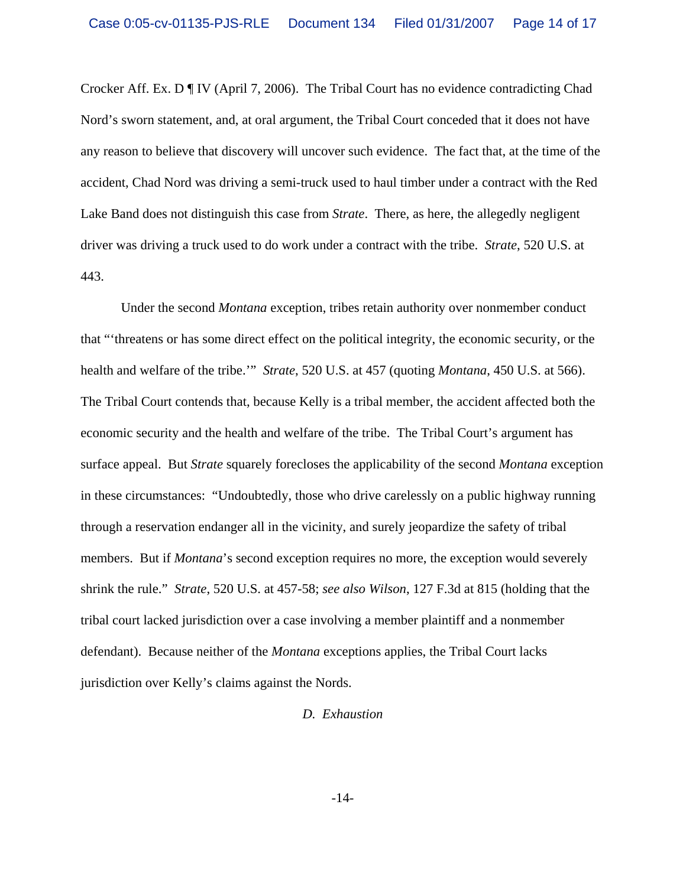Crocker Aff. Ex. D ¶ IV (April 7, 2006). The Tribal Court has no evidence contradicting Chad Nord's sworn statement, and, at oral argument, the Tribal Court conceded that it does not have any reason to believe that discovery will uncover such evidence. The fact that, at the time of the accident, Chad Nord was driving a semi-truck used to haul timber under a contract with the Red Lake Band does not distinguish this case from *Strate*. There, as here, the allegedly negligent driver was driving a truck used to do work under a contract with the tribe. *Strate*, 520 U.S. at 443.

Under the second *Montana* exception, tribes retain authority over nonmember conduct that "'threatens or has some direct effect on the political integrity, the economic security, or the health and welfare of the tribe.'" *Strate*, 520 U.S. at 457 (quoting *Montana*, 450 U.S. at 566). The Tribal Court contends that, because Kelly is a tribal member, the accident affected both the economic security and the health and welfare of the tribe. The Tribal Court's argument has surface appeal. But *Strate* squarely forecloses the applicability of the second *Montana* exception in these circumstances: "Undoubtedly, those who drive carelessly on a public highway running through a reservation endanger all in the vicinity, and surely jeopardize the safety of tribal members. But if *Montana*'s second exception requires no more, the exception would severely shrink the rule." *Strate*, 520 U.S. at 457-58; *see also Wilson*, 127 F.3d at 815 (holding that the tribal court lacked jurisdiction over a case involving a member plaintiff and a nonmember defendant). Because neither of the *Montana* exceptions applies, the Tribal Court lacks jurisdiction over Kelly's claims against the Nords.

#### *D. Exhaustion*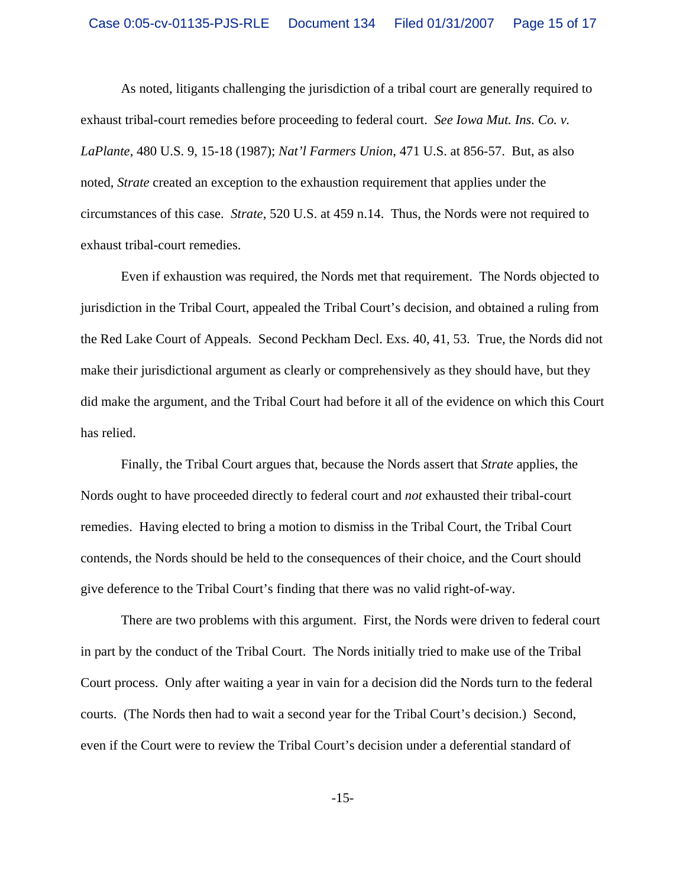As noted, litigants challenging the jurisdiction of a tribal court are generally required to exhaust tribal-court remedies before proceeding to federal court. *See Iowa Mut. Ins. Co. v. LaPlante*, 480 U.S. 9, 15-18 (1987); *Nat'l Farmers Union*, 471 U.S. at 856-57. But, as also noted, *Strate* created an exception to the exhaustion requirement that applies under the circumstances of this case. *Strate*, 520 U.S. at 459 n.14. Thus, the Nords were not required to exhaust tribal-court remedies.

Even if exhaustion was required, the Nords met that requirement. The Nords objected to jurisdiction in the Tribal Court, appealed the Tribal Court's decision, and obtained a ruling from the Red Lake Court of Appeals. Second Peckham Decl. Exs. 40, 41, 53. True, the Nords did not make their jurisdictional argument as clearly or comprehensively as they should have, but they did make the argument, and the Tribal Court had before it all of the evidence on which this Court has relied.

Finally, the Tribal Court argues that, because the Nords assert that *Strate* applies, the Nords ought to have proceeded directly to federal court and *not* exhausted their tribal-court remedies. Having elected to bring a motion to dismiss in the Tribal Court, the Tribal Court contends, the Nords should be held to the consequences of their choice, and the Court should give deference to the Tribal Court's finding that there was no valid right-of-way.

There are two problems with this argument. First, the Nords were driven to federal court in part by the conduct of the Tribal Court. The Nords initially tried to make use of the Tribal Court process. Only after waiting a year in vain for a decision did the Nords turn to the federal courts. (The Nords then had to wait a second year for the Tribal Court's decision.) Second, even if the Court were to review the Tribal Court's decision under a deferential standard of

-15-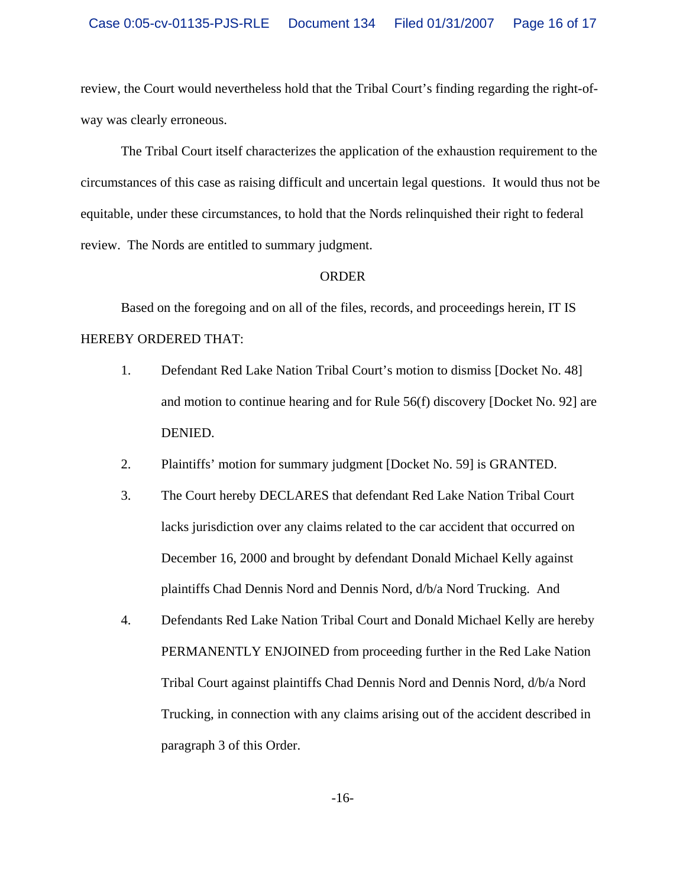review, the Court would nevertheless hold that the Tribal Court's finding regarding the right-ofway was clearly erroneous.

The Tribal Court itself characterizes the application of the exhaustion requirement to the circumstances of this case as raising difficult and uncertain legal questions. It would thus not be equitable, under these circumstances, to hold that the Nords relinquished their right to federal review. The Nords are entitled to summary judgment.

### ORDER

Based on the foregoing and on all of the files, records, and proceedings herein, IT IS HEREBY ORDERED THAT:

- 1. Defendant Red Lake Nation Tribal Court's motion to dismiss [Docket No. 48] and motion to continue hearing and for Rule 56(f) discovery [Docket No. 92] are DENIED.
- 2. Plaintiffs' motion for summary judgment [Docket No. 59] is GRANTED.
- 3. The Court hereby DECLARES that defendant Red Lake Nation Tribal Court lacks jurisdiction over any claims related to the car accident that occurred on December 16, 2000 and brought by defendant Donald Michael Kelly against plaintiffs Chad Dennis Nord and Dennis Nord, d/b/a Nord Trucking. And
- 4. Defendants Red Lake Nation Tribal Court and Donald Michael Kelly are hereby PERMANENTLY ENJOINED from proceeding further in the Red Lake Nation Tribal Court against plaintiffs Chad Dennis Nord and Dennis Nord, d/b/a Nord Trucking, in connection with any claims arising out of the accident described in paragraph 3 of this Order.